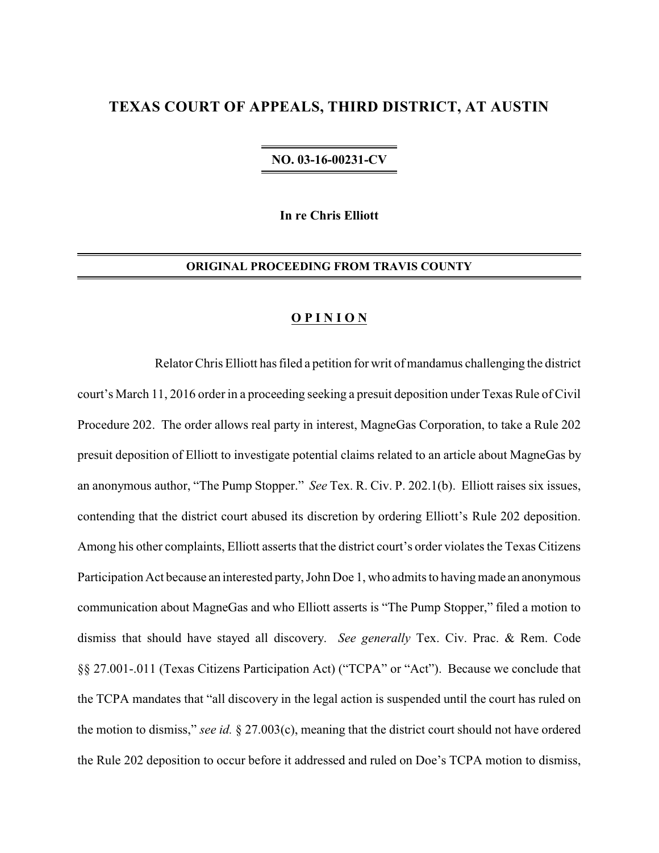# **TEXAS COURT OF APPEALS, THIRD DISTRICT, AT AUSTIN**

## **NO. 03-16-00231-CV**

**In re Chris Elliott**

## **ORIGINAL PROCEEDING FROM TRAVIS COUNTY**

#### **O P I N I O N**

Relator Chris Elliott has filed a petition for writ of mandamus challenging the district court's March 11, 2016 order in a proceeding seeking a presuit deposition under Texas Rule of Civil Procedure 202. The order allows real party in interest, MagneGas Corporation, to take a Rule 202 presuit deposition of Elliott to investigate potential claims related to an article about MagneGas by an anonymous author, "The Pump Stopper." *See* Tex. R. Civ. P. 202.1(b). Elliott raises six issues, contending that the district court abused its discretion by ordering Elliott's Rule 202 deposition. Among his other complaints, Elliott asserts that the district court's order violates the Texas Citizens Participation Act because an interested party, John Doe 1, who admits to having made an anonymous communication about MagneGas and who Elliott asserts is "The Pump Stopper," filed a motion to dismiss that should have stayed all discovery. *See generally* Tex. Civ. Prac. & Rem. Code §§ 27.001-.011 (Texas Citizens Participation Act) ("TCPA" or "Act"). Because we conclude that the TCPA mandates that "all discovery in the legal action is suspended until the court has ruled on the motion to dismiss," *see id.* § 27.003(c), meaning that the district court should not have ordered the Rule 202 deposition to occur before it addressed and ruled on Doe's TCPA motion to dismiss,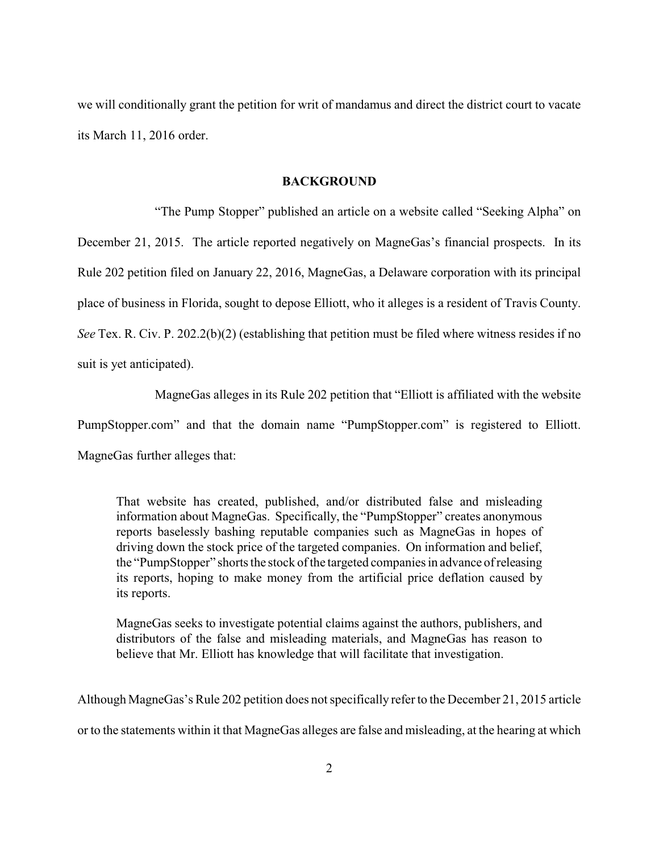we will conditionally grant the petition for writ of mandamus and direct the district court to vacate its March 11, 2016 order.

## **BACKGROUND**

"The Pump Stopper" published an article on a website called "Seeking Alpha" on December 21, 2015. The article reported negatively on MagneGas's financial prospects. In its Rule 202 petition filed on January 22, 2016, MagneGas, a Delaware corporation with its principal place of business in Florida, sought to depose Elliott, who it alleges is a resident of Travis County. *See* Tex. R. Civ. P. 202.2(b)(2) (establishing that petition must be filed where witness resides if no suit is yet anticipated).

MagneGas alleges in its Rule 202 petition that "Elliott is affiliated with the website PumpStopper.com" and that the domain name "PumpStopper.com" is registered to Elliott. MagneGas further alleges that:

That website has created, published, and/or distributed false and misleading information about MagneGas. Specifically, the "PumpStopper" creates anonymous reports baselessly bashing reputable companies such as MagneGas in hopes of driving down the stock price of the targeted companies. On information and belief, the "PumpStopper" shorts the stock of the targeted companies in advance of releasing its reports, hoping to make money from the artificial price deflation caused by its reports.

MagneGas seeks to investigate potential claims against the authors, publishers, and distributors of the false and misleading materials, and MagneGas has reason to believe that Mr. Elliott has knowledge that will facilitate that investigation.

Although MagneGas's Rule 202 petition does not specifically refer to the December 21, 2015 article or to the statements within it that MagneGas alleges are false and misleading, at the hearing at which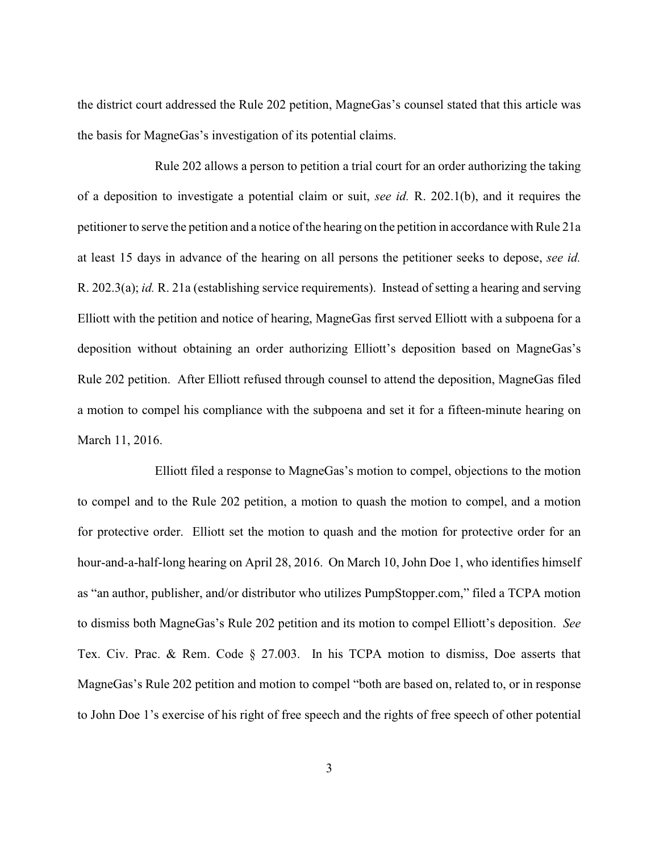the district court addressed the Rule 202 petition, MagneGas's counsel stated that this article was the basis for MagneGas's investigation of its potential claims.

Rule 202 allows a person to petition a trial court for an order authorizing the taking of a deposition to investigate a potential claim or suit, *see id.* R. 202.1(b), and it requires the petitioner to serve the petition and a notice of the hearing on the petition in accordance with Rule 21a at least 15 days in advance of the hearing on all persons the petitioner seeks to depose, *see id.* R. 202.3(a); *id.* R. 21a (establishing service requirements). Instead of setting a hearing and serving Elliott with the petition and notice of hearing, MagneGas first served Elliott with a subpoena for a deposition without obtaining an order authorizing Elliott's deposition based on MagneGas's Rule 202 petition. After Elliott refused through counsel to attend the deposition, MagneGas filed a motion to compel his compliance with the subpoena and set it for a fifteen-minute hearing on March 11, 2016.

Elliott filed a response to MagneGas's motion to compel, objections to the motion to compel and to the Rule 202 petition, a motion to quash the motion to compel, and a motion for protective order. Elliott set the motion to quash and the motion for protective order for an hour-and-a-half-long hearing on April 28, 2016. On March 10, John Doe 1, who identifies himself as "an author, publisher, and/or distributor who utilizes PumpStopper.com," filed a TCPA motion to dismiss both MagneGas's Rule 202 petition and its motion to compel Elliott's deposition. *See* Tex. Civ. Prac. & Rem. Code § 27.003. In his TCPA motion to dismiss, Doe asserts that MagneGas's Rule 202 petition and motion to compel "both are based on, related to, or in response to John Doe 1's exercise of his right of free speech and the rights of free speech of other potential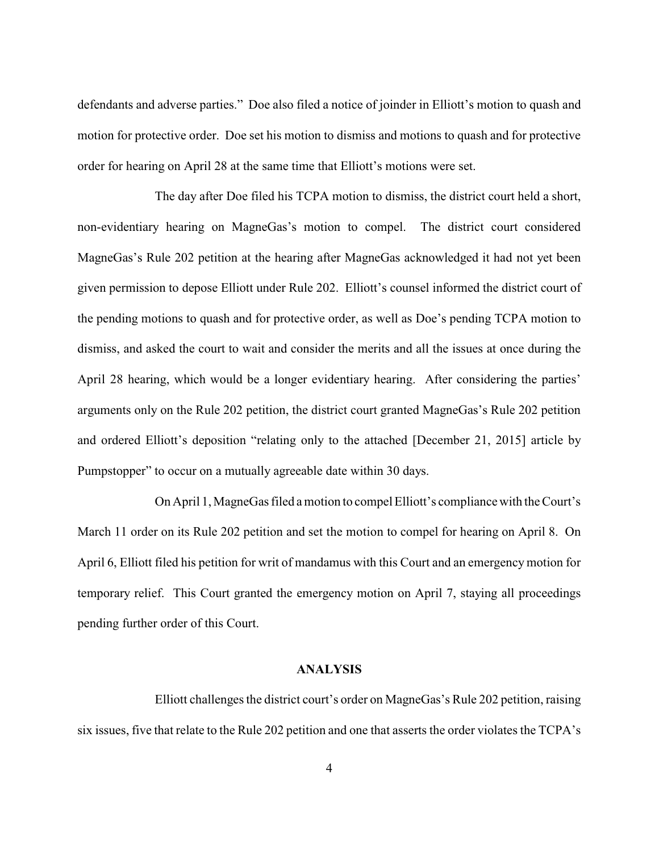defendants and adverse parties." Doe also filed a notice of joinder in Elliott's motion to quash and motion for protective order. Doe set his motion to dismiss and motions to quash and for protective order for hearing on April 28 at the same time that Elliott's motions were set.

The day after Doe filed his TCPA motion to dismiss, the district court held a short, non-evidentiary hearing on MagneGas's motion to compel. The district court considered MagneGas's Rule 202 petition at the hearing after MagneGas acknowledged it had not yet been given permission to depose Elliott under Rule 202. Elliott's counsel informed the district court of the pending motions to quash and for protective order, as well as Doe's pending TCPA motion to dismiss, and asked the court to wait and consider the merits and all the issues at once during the April 28 hearing, which would be a longer evidentiary hearing. After considering the parties' arguments only on the Rule 202 petition, the district court granted MagneGas's Rule 202 petition and ordered Elliott's deposition "relating only to the attached [December 21, 2015] article by Pumpstopper" to occur on a mutually agreeable date within 30 days.

On April 1, MagneGas filed a motion to compel Elliott's compliancewith the Court's March 11 order on its Rule 202 petition and set the motion to compel for hearing on April 8. On April 6, Elliott filed his petition for writ of mandamus with this Court and an emergency motion for temporary relief. This Court granted the emergency motion on April 7, staying all proceedings pending further order of this Court.

## **ANALYSIS**

Elliott challenges the district court's order on MagneGas's Rule 202 petition, raising six issues, five that relate to the Rule 202 petition and one that asserts the order violates the TCPA's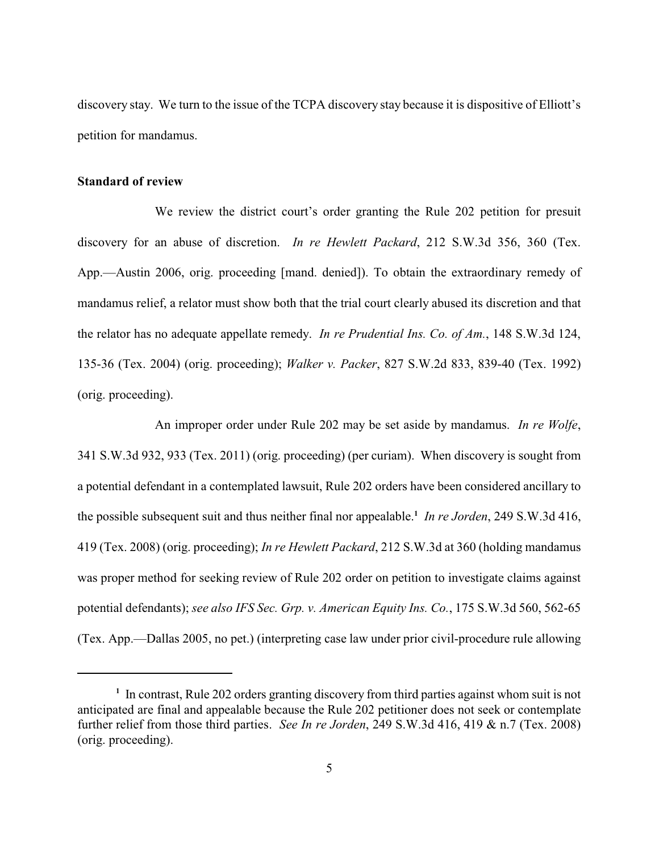discovery stay. We turn to the issue of the TCPA discovery stay because it is dispositive of Elliott's petition for mandamus.

#### **Standard of review**

We review the district court's order granting the Rule 202 petition for presuit discovery for an abuse of discretion. *In re Hewlett Packard*, 212 S.W.3d 356, 360 (Tex. App.—Austin 2006, orig. proceeding [mand. denied]). To obtain the extraordinary remedy of mandamus relief, a relator must show both that the trial court clearly abused its discretion and that the relator has no adequate appellate remedy. *In re Prudential Ins. Co. of Am.*, 148 S.W.3d 124, 135-36 (Tex. 2004) (orig. proceeding); *Walker v. Packer*, 827 S.W.2d 833, 839-40 (Tex. 1992) (orig. proceeding).

An improper order under Rule 202 may be set aside by mandamus. *In re Wolfe*, 341 S.W.3d 932, 933 (Tex. 2011) (orig. proceeding) (per curiam). When discovery is sought from a potential defendant in a contemplated lawsuit, Rule 202 orders have been considered ancillary to the possible subsequent suit and thus neither final nor appealable.<sup>1</sup> In re Jorden, 249 S.W.3d 416, 419 (Tex. 2008) (orig. proceeding); *In re Hewlett Packard*, 212 S.W.3d at 360 (holding mandamus was proper method for seeking review of Rule 202 order on petition to investigate claims against potential defendants); *see also IFS Sec. Grp. v. American Equity Ins. Co.*, 175 S.W.3d 560, 562-65 (Tex. App.—Dallas 2005, no pet.) (interpreting case law under prior civil-procedure rule allowing

<sup>&</sup>lt;sup>1</sup> In contrast, Rule 202 orders granting discovery from third parties against whom suit is not anticipated are final and appealable because the Rule 202 petitioner does not seek or contemplate further relief from those third parties. *See In re Jorden*, 249 S.W.3d 416, 419 & n.7 (Tex. 2008) (orig. proceeding).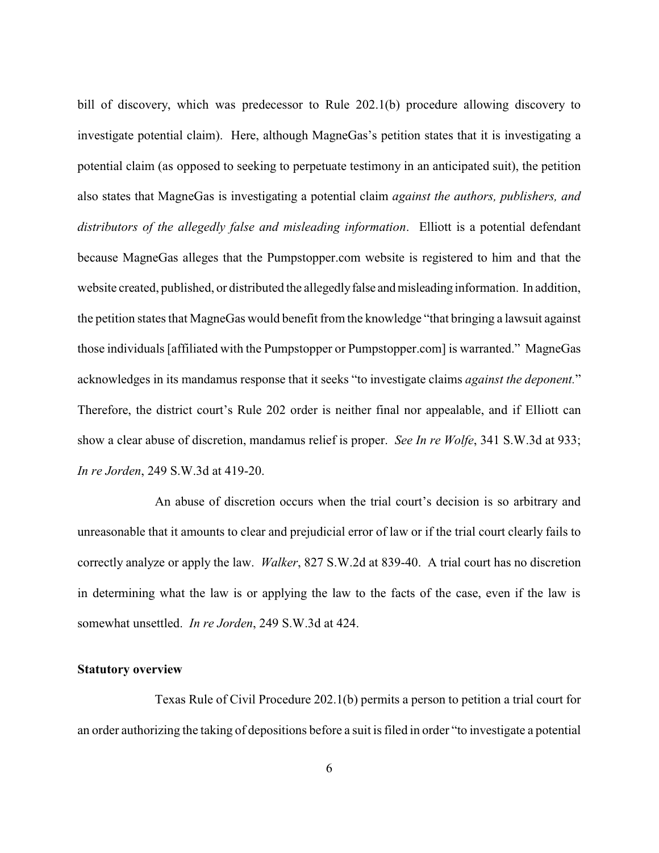bill of discovery, which was predecessor to Rule 202.1(b) procedure allowing discovery to investigate potential claim). Here, although MagneGas's petition states that it is investigating a potential claim (as opposed to seeking to perpetuate testimony in an anticipated suit), the petition also states that MagneGas is investigating a potential claim *against the authors, publishers, and distributors of the allegedly false and misleading information*. Elliott is a potential defendant because MagneGas alleges that the Pumpstopper.com website is registered to him and that the website created, published, or distributed the allegedlyfalse andmisleading information. In addition, the petition states that MagneGas would benefit from the knowledge "that bringing a lawsuit against those individuals [affiliated with the Pumpstopper or Pumpstopper.com] is warranted." MagneGas acknowledges in its mandamus response that it seeks "to investigate claims *against the deponent.*" Therefore, the district court's Rule 202 order is neither final nor appealable, and if Elliott can show a clear abuse of discretion, mandamus relief is proper. *See In re Wolfe*, 341 S.W.3d at 933; *In re Jorden*, 249 S.W.3d at 419-20.

An abuse of discretion occurs when the trial court's decision is so arbitrary and unreasonable that it amounts to clear and prejudicial error of law or if the trial court clearly fails to correctly analyze or apply the law. *Walker*, 827 S.W.2d at 839-40. A trial court has no discretion in determining what the law is or applying the law to the facts of the case, even if the law is somewhat unsettled. *In re Jorden*, 249 S.W.3d at 424.

## **Statutory overview**

Texas Rule of Civil Procedure 202.1(b) permits a person to petition a trial court for an order authorizing the taking of depositions before a suit is filed in order "to investigate a potential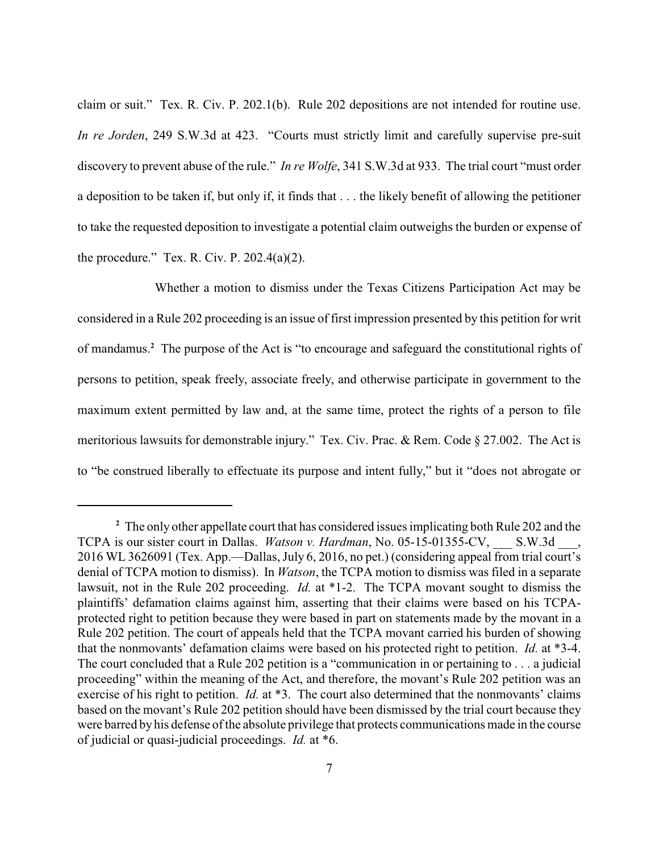claim or suit." Tex. R. Civ. P. 202.1(b). Rule 202 depositions are not intended for routine use. *In re Jorden*, 249 S.W.3d at 423. "Courts must strictly limit and carefully supervise pre-suit discovery to prevent abuse of the rule." *In re Wolfe*, 341 S.W.3d at 933. The trial court "must order a deposition to be taken if, but only if, it finds that . . . the likely benefit of allowing the petitioner to take the requested deposition to investigate a potential claim outweighs the burden or expense of the procedure." Tex. R. Civ. P.  $202.4(a)(2)$ .

Whether a motion to dismiss under the Texas Citizens Participation Act may be considered in a Rule 202 proceeding is an issue of first impression presented by this petition for writ of mandamus.<sup>2</sup> The purpose of the Act is "to encourage and safeguard the constitutional rights of persons to petition, speak freely, associate freely, and otherwise participate in government to the maximum extent permitted by law and, at the same time, protect the rights of a person to file meritorious lawsuits for demonstrable injury." Tex. Civ. Prac. & Rem. Code § 27.002. The Act is to "be construed liberally to effectuate its purpose and intent fully," but it "does not abrogate or

The only other appellate court that has considered issues implicating both Rule 202 and the **<sup>2</sup>** TCPA is our sister court in Dallas. *Watson v. Hardman*, No. 05-15-01355-CV, S.W.3d, 2016 WL 3626091 (Tex. App.—Dallas, July 6, 2016, no pet.) (considering appeal from trial court's denial of TCPA motion to dismiss). In *Watson*, the TCPA motion to dismiss was filed in a separate lawsuit, not in the Rule 202 proceeding. *Id.* at \*1-2. The TCPA movant sought to dismiss the plaintiffs' defamation claims against him, asserting that their claims were based on his TCPAprotected right to petition because they were based in part on statements made by the movant in a Rule 202 petition. The court of appeals held that the TCPA movant carried his burden of showing that the nonmovants' defamation claims were based on his protected right to petition. *Id.* at \*3-4. The court concluded that a Rule 202 petition is a "communication in or pertaining to . . . a judicial proceeding" within the meaning of the Act, and therefore, the movant's Rule 202 petition was an exercise of his right to petition. *Id.* at \*3. The court also determined that the nonmovants' claims based on the movant's Rule 202 petition should have been dismissed by the trial court because they were barred by his defense of the absolute privilege that protects communications made in the course of judicial or quasi-judicial proceedings. *Id.* at \*6.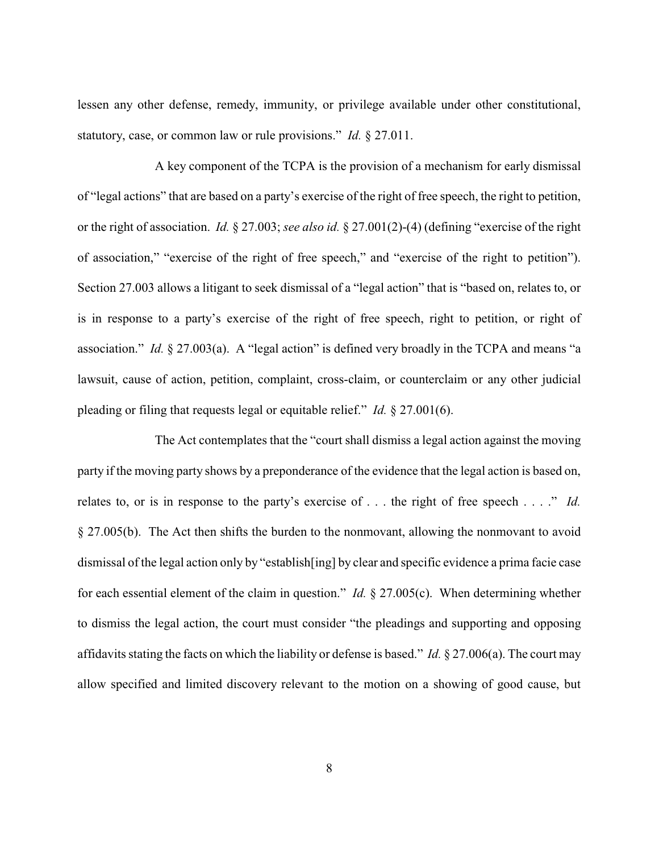lessen any other defense, remedy, immunity, or privilege available under other constitutional, statutory, case, or common law or rule provisions." *Id.* § 27.011.

A key component of the TCPA is the provision of a mechanism for early dismissal of "legal actions" that are based on a party's exercise of the right of free speech, the right to petition, or the right of association. *Id.* § 27.003; *see also id.* § 27.001(2)-(4) (defining "exercise of the right of association," "exercise of the right of free speech," and "exercise of the right to petition"). Section 27.003 allows a litigant to seek dismissal of a "legal action" that is "based on, relates to, or is in response to a party's exercise of the right of free speech, right to petition, or right of association." *Id.* § 27.003(a). A "legal action" is defined very broadly in the TCPA and means "a lawsuit, cause of action, petition, complaint, cross-claim, or counterclaim or any other judicial pleading or filing that requests legal or equitable relief." *Id.* § 27.001(6).

The Act contemplates that the "court shall dismiss a legal action against the moving party if the moving party shows by a preponderance of the evidence that the legal action is based on, relates to, or is in response to the party's exercise of . . . the right of free speech . . . ." *Id.* § 27.005(b). The Act then shifts the burden to the nonmovant, allowing the nonmovant to avoid dismissal of the legal action only by "establish[ing] by clear and specific evidence a prima facie case for each essential element of the claim in question." *Id.* § 27.005(c). When determining whether to dismiss the legal action, the court must consider "the pleadings and supporting and opposing affidavits stating the facts on which the liability or defense is based." *Id.* § 27.006(a). The court may allow specified and limited discovery relevant to the motion on a showing of good cause, but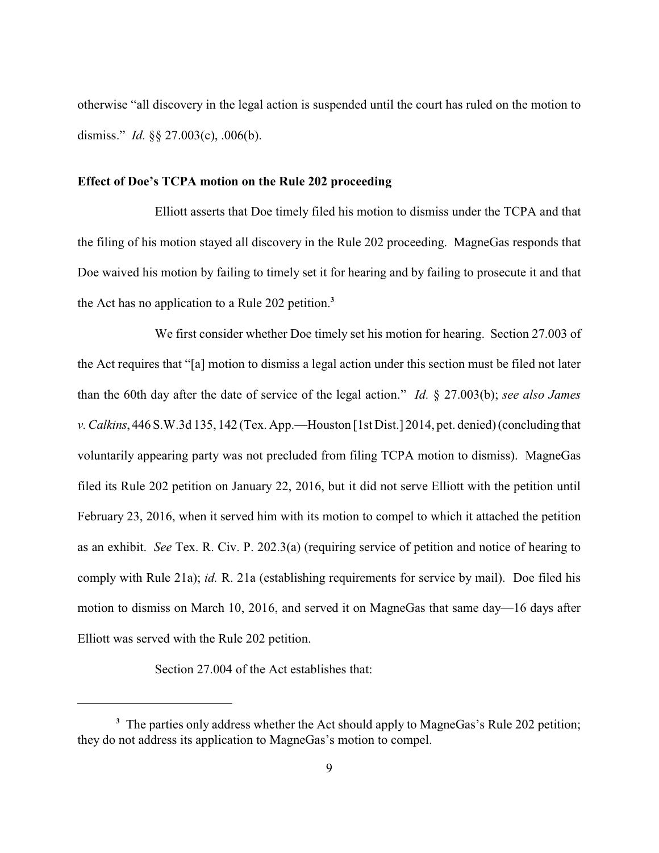otherwise "all discovery in the legal action is suspended until the court has ruled on the motion to dismiss." *Id.* §§ 27.003(c), .006(b).

#### **Effect of Doe's TCPA motion on the Rule 202 proceeding**

Elliott asserts that Doe timely filed his motion to dismiss under the TCPA and that the filing of his motion stayed all discovery in the Rule 202 proceeding. MagneGas responds that Doe waived his motion by failing to timely set it for hearing and by failing to prosecute it and that the Act has no application to a Rule 202 petition.**<sup>3</sup>**

We first consider whether Doe timely set his motion for hearing. Section 27.003 of the Act requires that "[a] motion to dismiss a legal action under this section must be filed not later than the 60th day after the date of service of the legal action." *Id.* § 27.003(b); *see also James v. Calkins*, 446 S.W.3d 135, 142 (Tex. App.—Houston [1st Dist.] 2014, pet. denied)(concluding that voluntarily appearing party was not precluded from filing TCPA motion to dismiss). MagneGas filed its Rule 202 petition on January 22, 2016, but it did not serve Elliott with the petition until February 23, 2016, when it served him with its motion to compel to which it attached the petition as an exhibit. *See* Tex. R. Civ. P. 202.3(a) (requiring service of petition and notice of hearing to comply with Rule 21a); *id.* R. 21a (establishing requirements for service by mail). Doe filed his motion to dismiss on March 10, 2016, and served it on MagneGas that same day—16 days after Elliott was served with the Rule 202 petition.

Section 27.004 of the Act establishes that:

<sup>&</sup>lt;sup>3</sup> The parties only address whether the Act should apply to MagneGas's Rule 202 petition; they do not address its application to MagneGas's motion to compel.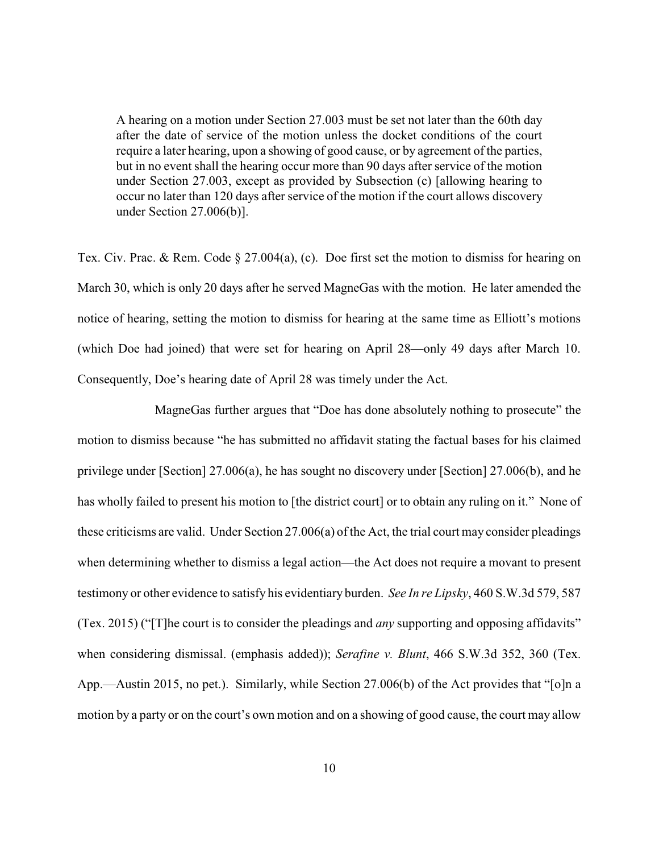A hearing on a motion under Section 27.003 must be set not later than the 60th day after the date of service of the motion unless the docket conditions of the court require a later hearing, upon a showing of good cause, or by agreement of the parties, but in no event shall the hearing occur more than 90 days after service of the motion under Section 27.003, except as provided by Subsection (c) [allowing hearing to occur no later than 120 days after service of the motion if the court allows discovery under Section 27.006(b)].

Tex. Civ. Prac. & Rem. Code § 27.004(a), (c). Doe first set the motion to dismiss for hearing on March 30, which is only 20 days after he served MagneGas with the motion. He later amended the notice of hearing, setting the motion to dismiss for hearing at the same time as Elliott's motions (which Doe had joined) that were set for hearing on April 28—only 49 days after March 10. Consequently, Doe's hearing date of April 28 was timely under the Act.

MagneGas further argues that "Doe has done absolutely nothing to prosecute" the motion to dismiss because "he has submitted no affidavit stating the factual bases for his claimed privilege under [Section] 27.006(a), he has sought no discovery under [Section] 27.006(b), and he has wholly failed to present his motion to [the district court] or to obtain any ruling on it." None of these criticisms are valid. Under Section 27.006(a) of the Act, the trial court may consider pleadings when determining whether to dismiss a legal action—the Act does not require a movant to present testimony or other evidence to satisfy his evidentiary burden. *See In re Lipsky*, 460 S.W.3d 579, 587 (Tex. 2015) ("[T]he court is to consider the pleadings and *any* supporting and opposing affidavits" when considering dismissal. (emphasis added)); *Serafine v. Blunt*, 466 S.W.3d 352, 360 (Tex. App.—Austin 2015, no pet.). Similarly, while Section 27.006(b) of the Act provides that "[o]n a motion by a party or on the court's own motion and on a showing of good cause, the court may allow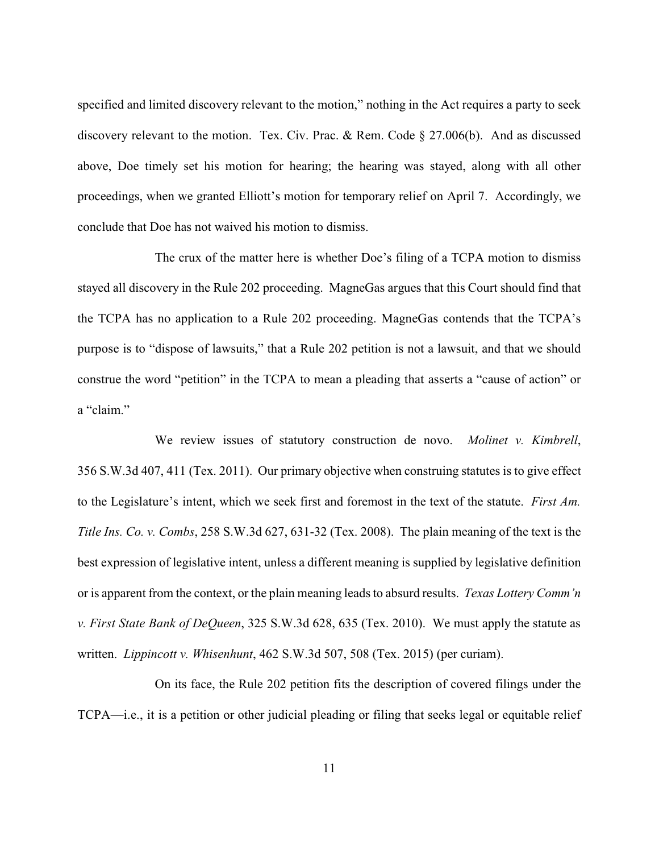specified and limited discovery relevant to the motion," nothing in the Act requires a party to seek discovery relevant to the motion. Tex. Civ. Prac. & Rem. Code § 27.006(b). And as discussed above, Doe timely set his motion for hearing; the hearing was stayed, along with all other proceedings, when we granted Elliott's motion for temporary relief on April 7. Accordingly, we conclude that Doe has not waived his motion to dismiss.

The crux of the matter here is whether Doe's filing of a TCPA motion to dismiss stayed all discovery in the Rule 202 proceeding. MagneGas argues that this Court should find that the TCPA has no application to a Rule 202 proceeding. MagneGas contends that the TCPA's purpose is to "dispose of lawsuits," that a Rule 202 petition is not a lawsuit, and that we should construe the word "petition" in the TCPA to mean a pleading that asserts a "cause of action" or a "claim."

We review issues of statutory construction de novo. *Molinet v. Kimbrell*, 356 S.W.3d 407, 411 (Tex. 2011). Our primary objective when construing statutes is to give effect to the Legislature's intent, which we seek first and foremost in the text of the statute. *First Am. Title Ins. Co. v. Combs*, 258 S.W.3d 627, 631-32 (Tex. 2008). The plain meaning of the text is the best expression of legislative intent, unless a different meaning is supplied by legislative definition or is apparent from the context, or the plain meaning leads to absurd results. *Texas Lottery Comm'n v. First State Bank of DeQueen*, 325 S.W.3d 628, 635 (Tex. 2010). We must apply the statute as written. *Lippincott v. Whisenhunt*, 462 S.W.3d 507, 508 (Tex. 2015) (per curiam).

On its face, the Rule 202 petition fits the description of covered filings under the TCPA—i.e., it is a petition or other judicial pleading or filing that seeks legal or equitable relief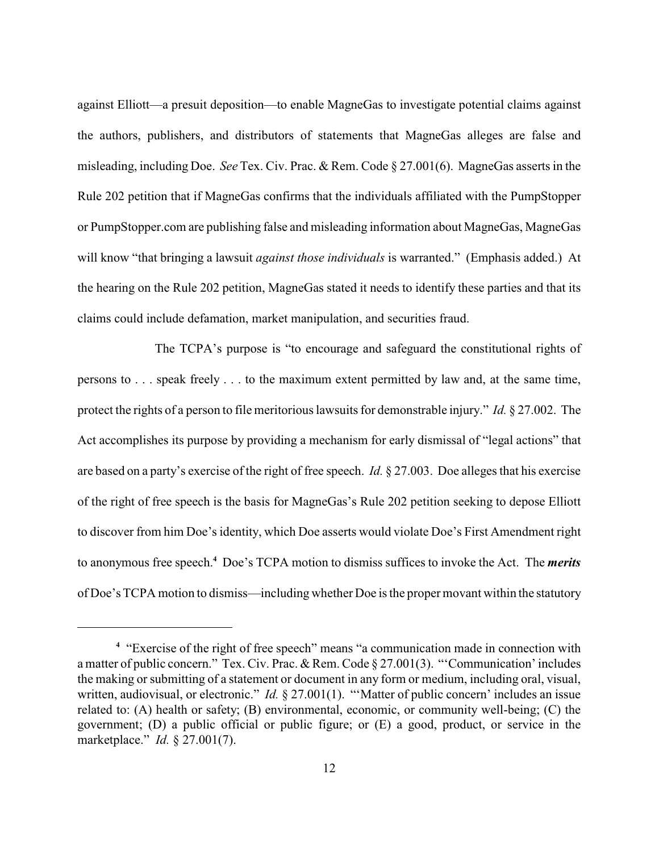against Elliott—a presuit deposition—to enable MagneGas to investigate potential claims against the authors, publishers, and distributors of statements that MagneGas alleges are false and misleading, including Doe. *See* Tex. Civ. Prac. & Rem. Code § 27.001(6). MagneGas asserts in the Rule 202 petition that if MagneGas confirms that the individuals affiliated with the PumpStopper or PumpStopper.com are publishing false and misleading information about MagneGas, MagneGas will know "that bringing a lawsuit *against those individuals* is warranted." (Emphasis added.) At the hearing on the Rule 202 petition, MagneGas stated it needs to identify these parties and that its claims could include defamation, market manipulation, and securities fraud.

The TCPA's purpose is "to encourage and safeguard the constitutional rights of persons to . . . speak freely . . . to the maximum extent permitted by law and, at the same time, protect the rights of a person to file meritorious lawsuits for demonstrable injury." *Id.* § 27.002. The Act accomplishes its purpose by providing a mechanism for early dismissal of "legal actions" that are based on a party's exercise of the right of free speech. *Id.* § 27.003. Doe alleges that his exercise of the right of free speech is the basis for MagneGas's Rule 202 petition seeking to depose Elliott to discover from him Doe's identity, which Doe asserts would violate Doe's First Amendment right to anonymous free speech.<sup>4</sup> Doe's TCPA motion to dismiss suffices to invoke the Act. The *merits* of Doe's TCPA motion to dismiss—including whether Doe is the propermovant within the statutory

<sup>&</sup>quot;Exercise of the right of free speech" means "a communication made in connection with **<sup>4</sup>** a matter of public concern." Tex. Civ. Prac. & Rem. Code § 27.001(3). "'Communication' includes the making or submitting of a statement or document in any form or medium, including oral, visual, written, audiovisual, or electronic." *Id.* § 27.001(1). "'Matter of public concern' includes an issue related to: (A) health or safety; (B) environmental, economic, or community well-being; (C) the government; (D) a public official or public figure; or (E) a good, product, or service in the marketplace." *Id.* § 27.001(7).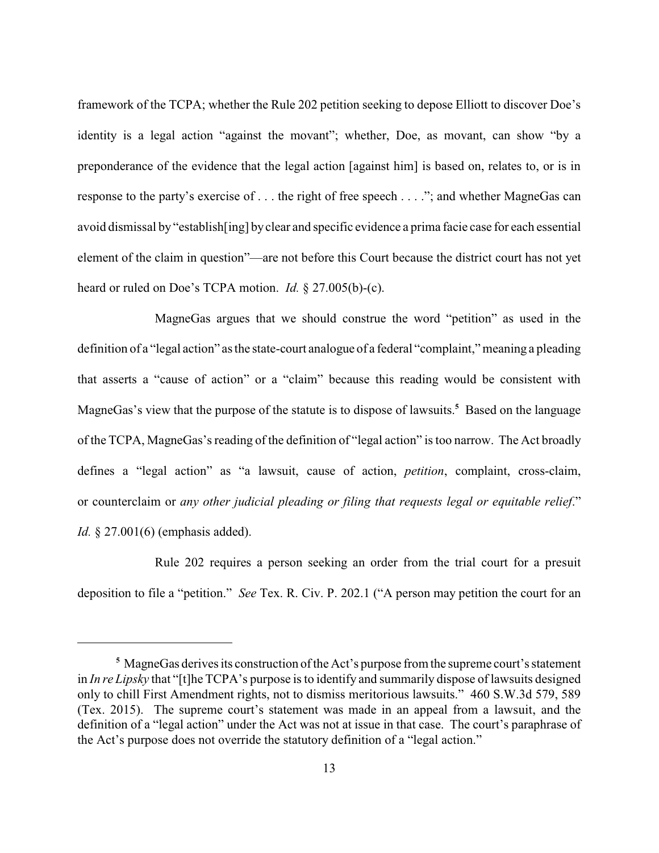framework of the TCPA; whether the Rule 202 petition seeking to depose Elliott to discover Doe's identity is a legal action "against the movant"; whether, Doe, as movant, can show "by a preponderance of the evidence that the legal action [against him] is based on, relates to, or is in response to the party's exercise of . . . the right of free speech . . . ."; and whether MagneGas can avoid dismissal by "establish[ing] byclear and specific evidence a prima facie case for each essential element of the claim in question"—are not before this Court because the district court has not yet heard or ruled on Doe's TCPA motion. *Id.* § 27.005(b)-(c).

MagneGas argues that we should construe the word "petition" as used in the definition of a "legal action" as the state-court analogue of a federal "complaint," meaning a pleading that asserts a "cause of action" or a "claim" because this reading would be consistent with MagneGas's view that the purpose of the statute is to dispose of lawsuits.<sup>5</sup> Based on the language of the TCPA, MagneGas's reading of the definition of "legal action" is too narrow. The Act broadly defines a "legal action" as "a lawsuit, cause of action, *petition*, complaint, cross-claim, or counterclaim or *any other judicial pleading or filing that requests legal or equitable relief*." *Id.* § 27.001(6) (emphasis added).

Rule 202 requires a person seeking an order from the trial court for a presuit deposition to file a "petition." *See* Tex. R. Civ. P. 202.1 ("A person may petition the court for an

MagneGas derives its construction of the Act's purpose from the supreme court's statement **<sup>5</sup>** in *In re Lipsky* that "[t]he TCPA's purpose is to identify and summarily dispose of lawsuits designed only to chill First Amendment rights, not to dismiss meritorious lawsuits." 460 S.W.3d 579, 589 (Tex. 2015). The supreme court's statement was made in an appeal from a lawsuit, and the definition of a "legal action" under the Act was not at issue in that case. The court's paraphrase of the Act's purpose does not override the statutory definition of a "legal action."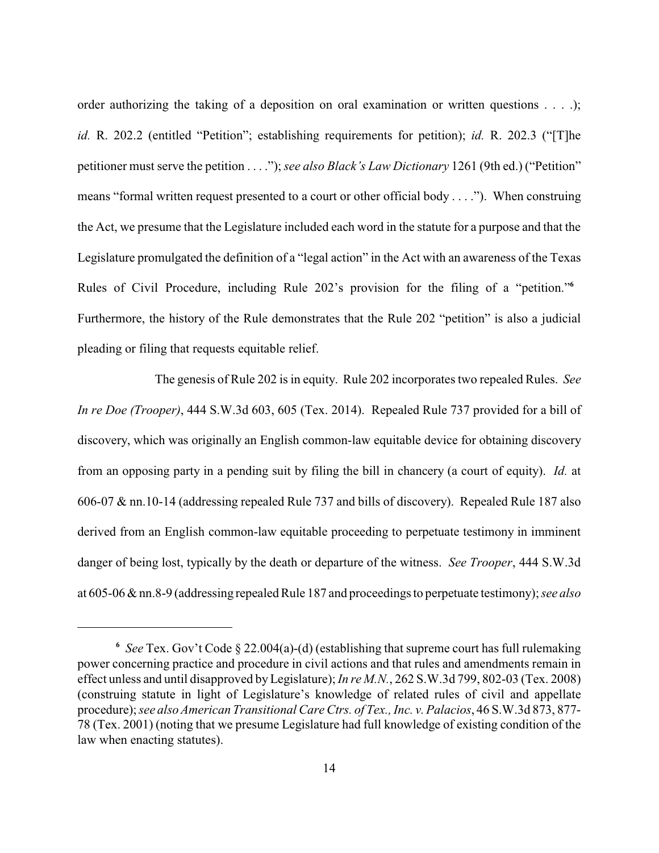order authorizing the taking of a deposition on oral examination or written questions . . . .); *id.* R. 202.2 (entitled "Petition"; establishing requirements for petition); *id.* R. 202.3 ("[T]he petitioner must serve the petition . . . ."); *see also Black's Law Dictionary* 1261 (9th ed.) ("Petition" means "formal written request presented to a court or other official body . . . ."). When construing the Act, we presume that the Legislature included each word in the statute for a purpose and that the Legislature promulgated the definition of a "legal action" in the Act with an awareness of the Texas Rules of Civil Procedure, including Rule 202's provision for the filing of a "petition."**<sup>6</sup>** Furthermore, the history of the Rule demonstrates that the Rule 202 "petition" is also a judicial pleading or filing that requests equitable relief.

The genesis of Rule 202 is in equity. Rule 202 incorporates two repealed Rules. *See In re Doe (Trooper)*, 444 S.W.3d 603, 605 (Tex. 2014). Repealed Rule 737 provided for a bill of discovery, which was originally an English common-law equitable device for obtaining discovery from an opposing party in a pending suit by filing the bill in chancery (a court of equity). *Id.* at 606-07 & nn.10-14 (addressing repealed Rule 737 and bills of discovery). Repealed Rule 187 also derived from an English common-law equitable proceeding to perpetuate testimony in imminent danger of being lost, typically by the death or departure of the witness. *See Trooper*, 444 S.W.3d at 605-06 & nn.8-9 (addressing repealed Rule 187 and proceedings to perpetuate testimony); *see also*

*See* Tex. Gov't Code § 22.004(a)-(d) (establishing that supreme court has full rulemaking **<sup>6</sup>** power concerning practice and procedure in civil actions and that rules and amendments remain in effect unless and until disapproved byLegislature); *In re M.N.*, 262 S.W.3d 799, 802-03 (Tex. 2008) (construing statute in light of Legislature's knowledge of related rules of civil and appellate procedure); *see also American Transitional Care Ctrs. of Tex., Inc. v. Palacios*, 46 S.W.3d 873, 877- 78 (Tex. 2001) (noting that we presume Legislature had full knowledge of existing condition of the law when enacting statutes).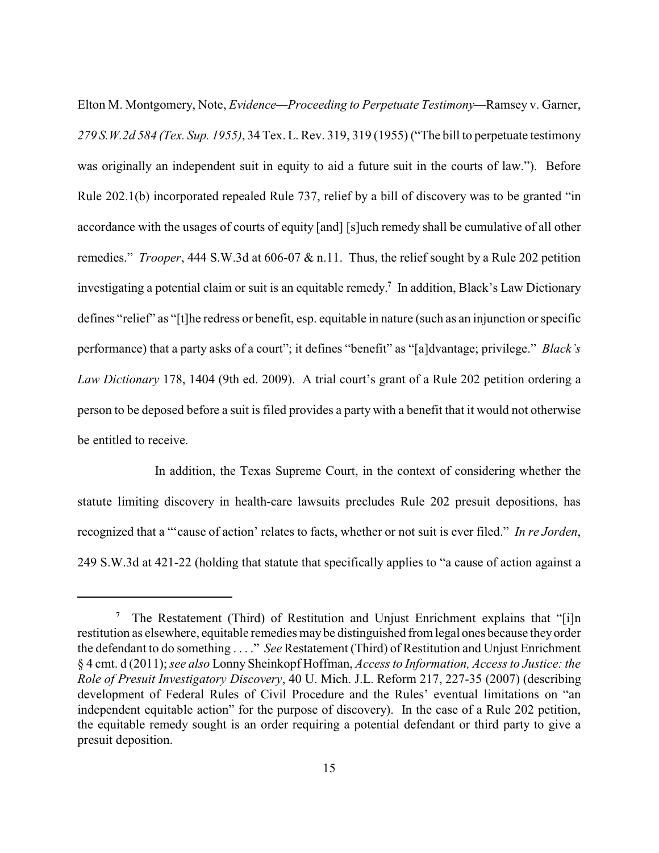Elton M. Montgomery, Note, *Evidence—Proceeding to Perpetuate Testimony—*Ramsey v. Garner, *279 S.W.2d 584 (Tex. Sup. 1955)*, 34 Tex. L. Rev. 319, 319 (1955) ("The bill to perpetuate testimony was originally an independent suit in equity to aid a future suit in the courts of law."). Before Rule 202.1(b) incorporated repealed Rule 737, relief by a bill of discovery was to be granted "in accordance with the usages of courts of equity [and] [s]uch remedy shall be cumulative of all other remedies." *Trooper*, 444 S.W.3d at 606-07 & n.11. Thus, the relief sought by a Rule 202 petition investigating a potential claim or suit is an equitable remedy.<sup>7</sup> In addition, Black's Law Dictionary defines "relief" as "[t]he redress or benefit, esp. equitable in nature (such as an injunction or specific performance) that a party asks of a court"; it defines "benefit" as "[a]dvantage; privilege." *Black's Law Dictionary* 178, 1404 (9th ed. 2009). A trial court's grant of a Rule 202 petition ordering a person to be deposed before a suit is filed provides a party with a benefit that it would not otherwise be entitled to receive.

In addition, the Texas Supreme Court, in the context of considering whether the statute limiting discovery in health-care lawsuits precludes Rule 202 presuit depositions, has recognized that a "'cause of action' relates to facts, whether or not suit is ever filed." *In re Jorden*, 249 S.W.3d at 421-22 (holding that statute that specifically applies to "a cause of action against a

<sup>&</sup>lt;sup>7</sup> The Restatement (Third) of Restitution and Unjust Enrichment explains that "[i]n restitution as elsewhere, equitable remedies maybe distinguished from legal ones because theyorder the defendant to do something . . . ." *See* Restatement (Third) of Restitution and Unjust Enrichment § 4 cmt. d (2011); *see also* Lonny Sheinkopf Hoffman, *Access to Information, Access to Justice: the Role of Presuit Investigatory Discovery*, 40 U. Mich. J.L. Reform 217, 227-35 (2007) (describing development of Federal Rules of Civil Procedure and the Rules' eventual limitations on "an independent equitable action" for the purpose of discovery). In the case of a Rule 202 petition, the equitable remedy sought is an order requiring a potential defendant or third party to give a presuit deposition.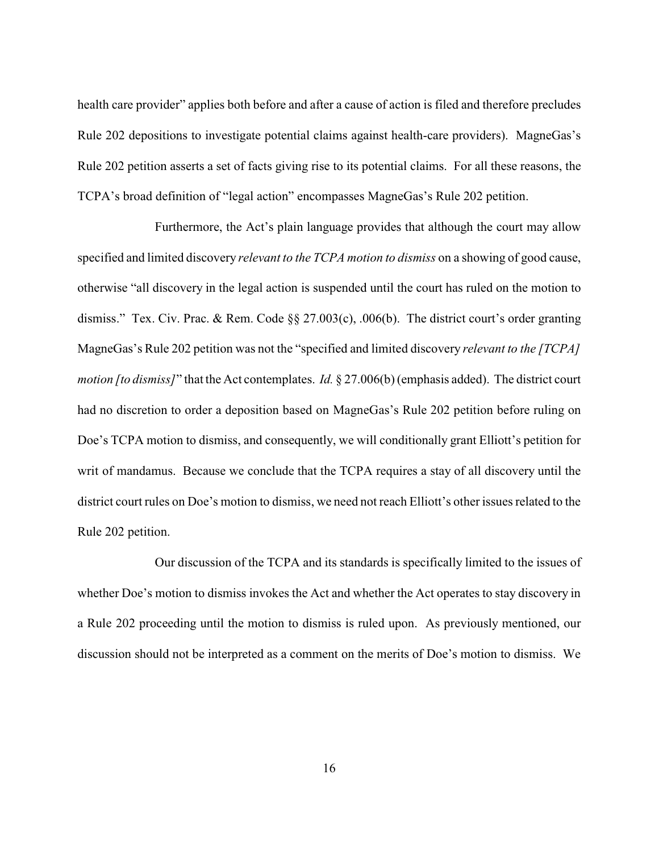health care provider" applies both before and after a cause of action is filed and therefore precludes Rule 202 depositions to investigate potential claims against health-care providers). MagneGas's Rule 202 petition asserts a set of facts giving rise to its potential claims. For all these reasons, the TCPA's broad definition of "legal action" encompasses MagneGas's Rule 202 petition.

Furthermore, the Act's plain language provides that although the court may allow specified and limited discovery *relevant to the TCPA motion to dismiss* on a showing of good cause, otherwise "all discovery in the legal action is suspended until the court has ruled on the motion to dismiss." Tex. Civ. Prac. & Rem. Code §§ 27.003(c), .006(b). The district court's order granting MagneGas's Rule 202 petition was not the "specified and limited discovery *relevant to the [TCPA] motion [to dismiss]*" that the Act contemplates. *Id.* § 27.006(b) (emphasis added). The district court had no discretion to order a deposition based on MagneGas's Rule 202 petition before ruling on Doe's TCPA motion to dismiss, and consequently, we will conditionally grant Elliott's petition for writ of mandamus. Because we conclude that the TCPA requires a stay of all discovery until the district court rules on Doe's motion to dismiss, we need not reach Elliott's other issues related to the Rule 202 petition.

Our discussion of the TCPA and its standards is specifically limited to the issues of whether Doe's motion to dismiss invokes the Act and whether the Act operates to stay discovery in a Rule 202 proceeding until the motion to dismiss is ruled upon. As previously mentioned, our discussion should not be interpreted as a comment on the merits of Doe's motion to dismiss. We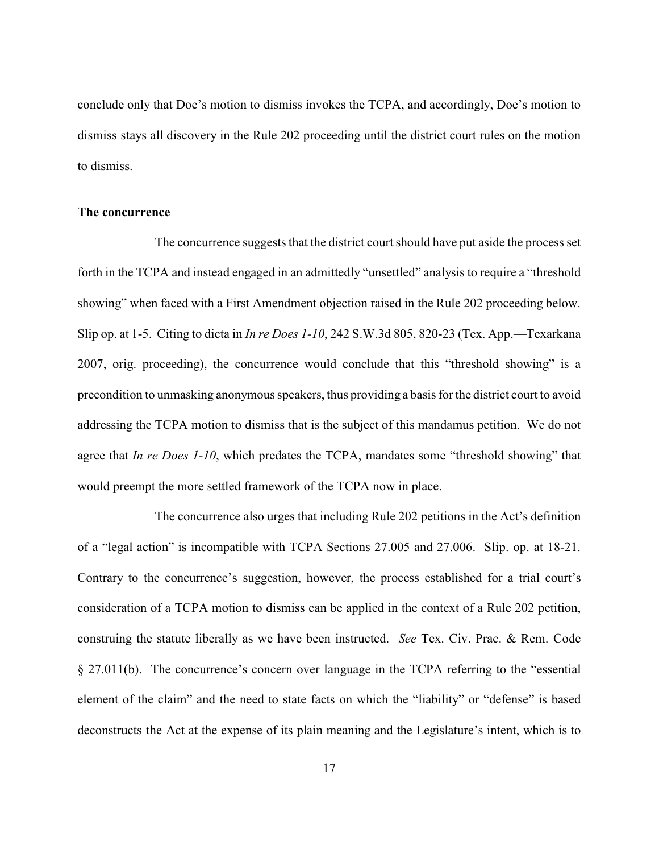conclude only that Doe's motion to dismiss invokes the TCPA, and accordingly, Doe's motion to dismiss stays all discovery in the Rule 202 proceeding until the district court rules on the motion to dismiss.

## **The concurrence**

The concurrence suggests that the district court should have put aside the process set forth in the TCPA and instead engaged in an admittedly "unsettled" analysis to require a "threshold showing" when faced with a First Amendment objection raised in the Rule 202 proceeding below. Slip op. at 1-5. Citing to dicta in *In re Does 1-10*, 242 S.W.3d 805, 820-23 (Tex. App.—Texarkana 2007, orig. proceeding), the concurrence would conclude that this "threshold showing" is a precondition to unmasking anonymous speakers, thus providing a basis for the district court to avoid addressing the TCPA motion to dismiss that is the subject of this mandamus petition. We do not agree that *In re Does 1-10*, which predates the TCPA, mandates some "threshold showing" that would preempt the more settled framework of the TCPA now in place.

The concurrence also urges that including Rule 202 petitions in the Act's definition of a "legal action" is incompatible with TCPA Sections 27.005 and 27.006. Slip. op. at 18-21. Contrary to the concurrence's suggestion, however, the process established for a trial court's consideration of a TCPA motion to dismiss can be applied in the context of a Rule 202 petition, construing the statute liberally as we have been instructed. *See* Tex. Civ. Prac. & Rem. Code § 27.011(b). The concurrence's concern over language in the TCPA referring to the "essential element of the claim" and the need to state facts on which the "liability" or "defense" is based deconstructs the Act at the expense of its plain meaning and the Legislature's intent, which is to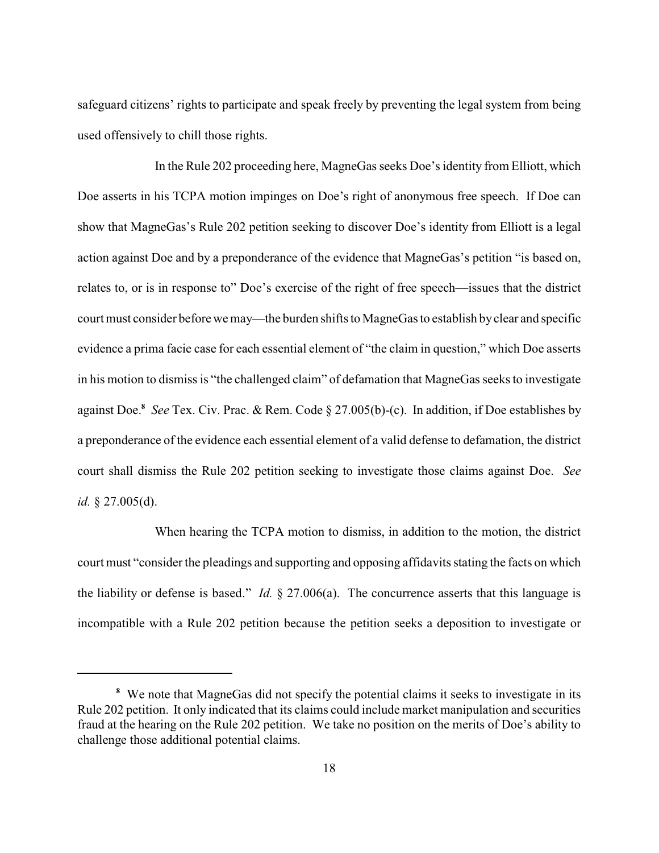safeguard citizens' rights to participate and speak freely by preventing the legal system from being used offensively to chill those rights.

In the Rule 202 proceeding here, MagneGas seeks Doe's identity from Elliott, which Doe asserts in his TCPA motion impinges on Doe's right of anonymous free speech. If Doe can show that MagneGas's Rule 202 petition seeking to discover Doe's identity from Elliott is a legal action against Doe and by a preponderance of the evidence that MagneGas's petition "is based on, relates to, or is in response to" Doe's exercise of the right of free speech—issues that the district court must consider before we may—the burden shifts to MagneGas to establish byclear and specific evidence a prima facie case for each essential element of "the claim in question," which Doe asserts in his motion to dismissis "the challenged claim" of defamation that MagneGas seeks to investigate against Doe.<sup>8</sup> See Tex. Civ. Prac. & Rem. Code § 27.005(b)-(c). In addition, if Doe establishes by a preponderance of the evidence each essential element of a valid defense to defamation, the district court shall dismiss the Rule 202 petition seeking to investigate those claims against Doe. *See id.* § 27.005(d).

When hearing the TCPA motion to dismiss, in addition to the motion, the district court must "consider the pleadings and supporting and opposing affidavits stating the facts on which the liability or defense is based." *Id.* § 27.006(a). The concurrence asserts that this language is incompatible with a Rule 202 petition because the petition seeks a deposition to investigate or

We note that MagneGas did not specify the potential claims it seeks to investigate in its **<sup>8</sup>** Rule 202 petition. It only indicated that its claims could include market manipulation and securities fraud at the hearing on the Rule 202 petition. We take no position on the merits of Doe's ability to challenge those additional potential claims.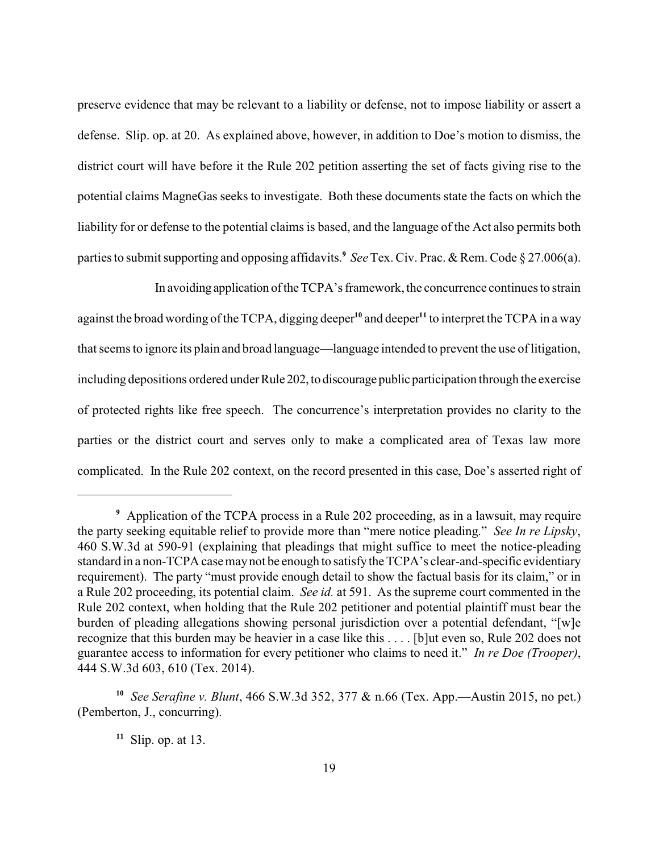preserve evidence that may be relevant to a liability or defense, not to impose liability or assert a defense. Slip. op. at 20. As explained above, however, in addition to Doe's motion to dismiss, the district court will have before it the Rule 202 petition asserting the set of facts giving rise to the potential claims MagneGas seeks to investigate. Both these documents state the facts on which the liability for or defense to the potential claims is based, and the language of the Act also permits both parties to submit supporting and opposing affidavits.<sup>9</sup> See Tex. Civ. Prac. & Rem. Code § 27.006(a).

In avoiding application of the TCPA's framework, the concurrence continues to strain against the broad wording of the TCPA, digging deeper<sup>10</sup> and deeper<sup>11</sup> to interpret the TCPA in a way that seems to ignore its plain and broad language—language intended to prevent the use of litigation, including depositions ordered under Rule 202, to discourage public participation through the exercise of protected rights like free speech. The concurrence's interpretation provides no clarity to the parties or the district court and serves only to make a complicated area of Texas law more complicated. In the Rule 202 context, on the record presented in this case, Doe's asserted right of

Application of the TCPA process in a Rule 202 proceeding, as in a lawsuit, may require **<sup>9</sup>** the party seeking equitable relief to provide more than "mere notice pleading." *See In re Lipsky*, 460 S.W.3d at 590-91 (explaining that pleadings that might suffice to meet the notice-pleading standard in a non-TCPA case may not be enough to satisfy the TCPA's clear-and-specific evidentiary requirement). The party "must provide enough detail to show the factual basis for its claim," or in a Rule 202 proceeding, its potential claim. *See id.* at 591. As the supreme court commented in the Rule 202 context, when holding that the Rule 202 petitioner and potential plaintiff must bear the burden of pleading allegations showing personal jurisdiction over a potential defendant, "[w]e recognize that this burden may be heavier in a case like this . . . . [b]ut even so, Rule 202 does not guarantee access to information for every petitioner who claims to need it." *In re Doe (Trooper)*, 444 S.W.3d 603, 610 (Tex. 2014).

*See Serafine v. Blunt*, 466 S.W.3d 352, 377 & n.66 (Tex. App.—Austin 2015, no pet.) **<sup>10</sup>** (Pemberton, J., concurring).

 $11$  Slip. op. at 13.